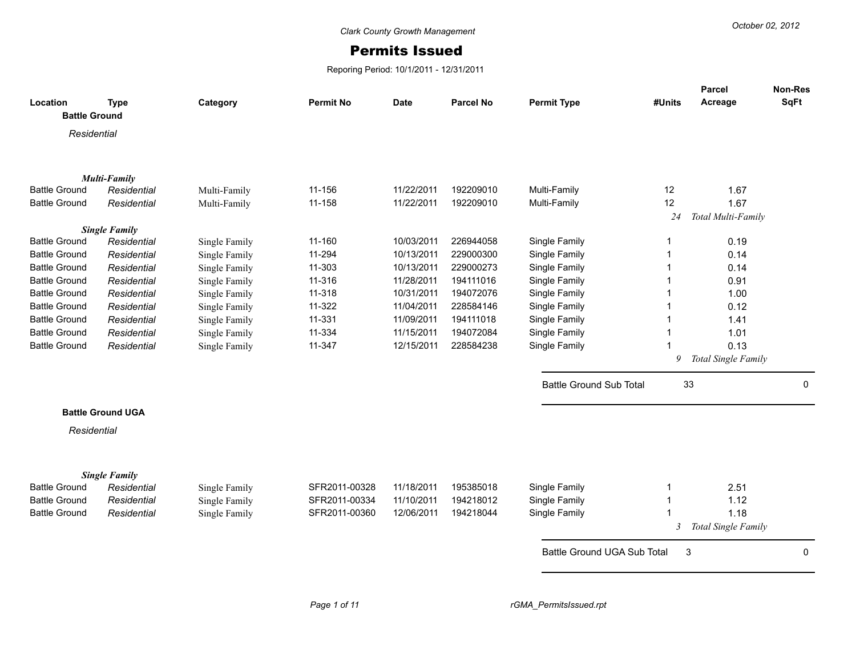## Permits Issued

Reporing Period: 10/1/2011 - 12/31/2011

| Location             | <b>Type</b>              | Category      | <b>Permit No</b> | <b>Date</b> | <b>Parcel No</b> | <b>Permit Type</b>             | #Units         | Parcel<br>Acreage   | Non-Res<br><b>SqFt</b> |
|----------------------|--------------------------|---------------|------------------|-------------|------------------|--------------------------------|----------------|---------------------|------------------------|
| <b>Battle Ground</b> |                          |               |                  |             |                  |                                |                |                     |                        |
| Residential          |                          |               |                  |             |                  |                                |                |                     |                        |
|                      |                          |               |                  |             |                  |                                |                |                     |                        |
|                      |                          |               |                  |             |                  |                                |                |                     |                        |
|                      | <b>Multi-Family</b>      |               |                  |             |                  |                                |                |                     |                        |
| <b>Battle Ground</b> | Residential              | Multi-Family  | 11-156           | 11/22/2011  | 192209010        | Multi-Family                   | 12             | 1.67                |                        |
| <b>Battle Ground</b> | Residential              | Multi-Family  | 11-158           | 11/22/2011  | 192209010        | Multi-Family                   | 12             | 1.67                |                        |
|                      |                          |               |                  |             |                  |                                | 24             | Total Multi-Family  |                        |
|                      | <b>Single Family</b>     |               |                  |             |                  |                                |                |                     |                        |
| <b>Battle Ground</b> | Residential              | Single Family | 11-160           | 10/03/2011  | 226944058        | Single Family                  | 1              | 0.19                |                        |
| <b>Battle Ground</b> | Residential              | Single Family | 11-294           | 10/13/2011  | 229000300        | Single Family                  |                | 0.14                |                        |
| <b>Battle Ground</b> | Residential              | Single Family | 11-303           | 10/13/2011  | 229000273        | Single Family                  |                | 0.14                |                        |
| <b>Battle Ground</b> | Residential              | Single Family | 11-316           | 11/28/2011  | 194111016        | Single Family                  |                | 0.91                |                        |
| <b>Battle Ground</b> | Residential              | Single Family | 11-318           | 10/31/2011  | 194072076        | Single Family                  |                | 1.00                |                        |
| <b>Battle Ground</b> | Residential              | Single Family | 11-322           | 11/04/2011  | 228584146        | Single Family                  | 1              | 0.12                |                        |
| <b>Battle Ground</b> | Residential              | Single Family | 11-331           | 11/09/2011  | 194111018        | Single Family                  |                | 1.41                |                        |
| <b>Battle Ground</b> | Residential              | Single Family | 11-334           | 11/15/2011  | 194072084        | Single Family                  | 1              | 1.01                |                        |
| <b>Battle Ground</b> | Residential              | Single Family | 11-347           | 12/15/2011  | 228584238        | Single Family                  |                | 0.13                |                        |
|                      |                          |               |                  |             |                  |                                | 9              | Total Single Family |                        |
|                      |                          |               |                  |             |                  | <b>Battle Ground Sub Total</b> |                | 33                  | 0                      |
|                      | <b>Battle Ground UGA</b> |               |                  |             |                  |                                |                |                     |                        |
| Residential          |                          |               |                  |             |                  |                                |                |                     |                        |
|                      |                          |               |                  |             |                  |                                |                |                     |                        |
|                      | <b>Single Family</b>     |               |                  |             |                  |                                |                |                     |                        |
| <b>Battle Ground</b> | Residential              | Single Family | SFR2011-00328    | 11/18/2011  | 195385018        | Single Family                  | 1              | 2.51                |                        |
| <b>Battle Ground</b> | Residential              | Single Family | SFR2011-00334    | 11/10/2011  | 194218012        | Single Family                  | 1              | 1.12                |                        |
| <b>Battle Ground</b> | Residential              | Single Family | SFR2011-00360    | 12/06/2011  | 194218044        | Single Family                  | -1             | 1.18                |                        |
|                      |                          |               |                  |             |                  |                                | $\mathfrak{Z}$ | Total Single Family |                        |
|                      |                          |               |                  |             |                  | Battle Ground UGA Sub Total    |                | 3                   | 0                      |
|                      |                          |               |                  |             |                  |                                |                |                     |                        |
|                      |                          |               |                  |             |                  |                                |                |                     |                        |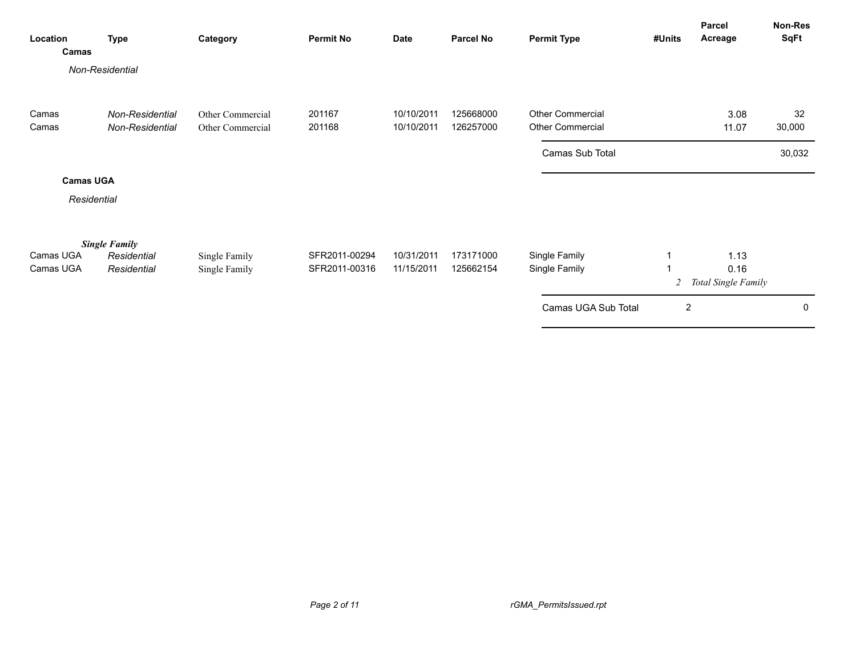| Location<br>Camas      | <b>Type</b>                                        | Category                             | <b>Permit No</b>               | <b>Date</b>              | <b>Parcel No</b>       | <b>Permit Type</b>                   | #Units | Parcel<br>Acreage                   | <b>Non-Res</b><br><b>SqFt</b> |
|------------------------|----------------------------------------------------|--------------------------------------|--------------------------------|--------------------------|------------------------|--------------------------------------|--------|-------------------------------------|-------------------------------|
|                        | Non-Residential                                    |                                      |                                |                          |                        |                                      |        |                                     |                               |
| Camas<br>Camas         | Non-Residential<br>Non-Residential                 | Other Commercial<br>Other Commercial | 201167<br>201168               | 10/10/2011<br>10/10/2011 | 125668000<br>126257000 | Other Commercial<br>Other Commercial |        | 3.08<br>11.07                       | 32<br>30,000                  |
|                        |                                                    |                                      |                                |                          |                        | Camas Sub Total                      |        |                                     | 30,032                        |
| <b>Camas UGA</b>       |                                                    |                                      |                                |                          |                        |                                      |        |                                     |                               |
| Residential            |                                                    |                                      |                                |                          |                        |                                      |        |                                     |                               |
| Camas UGA<br>Camas UGA | <b>Single Family</b><br>Residential<br>Residential | Single Family<br>Single Family       | SFR2011-00294<br>SFR2011-00316 | 10/31/2011<br>11/15/2011 | 173171000<br>125662154 | Single Family<br>Single Family       | 2      | 1.13<br>0.16<br>Total Single Family |                               |
|                        |                                                    |                                      |                                |                          |                        | Camas UGA Sub Total                  | 2      |                                     | 0                             |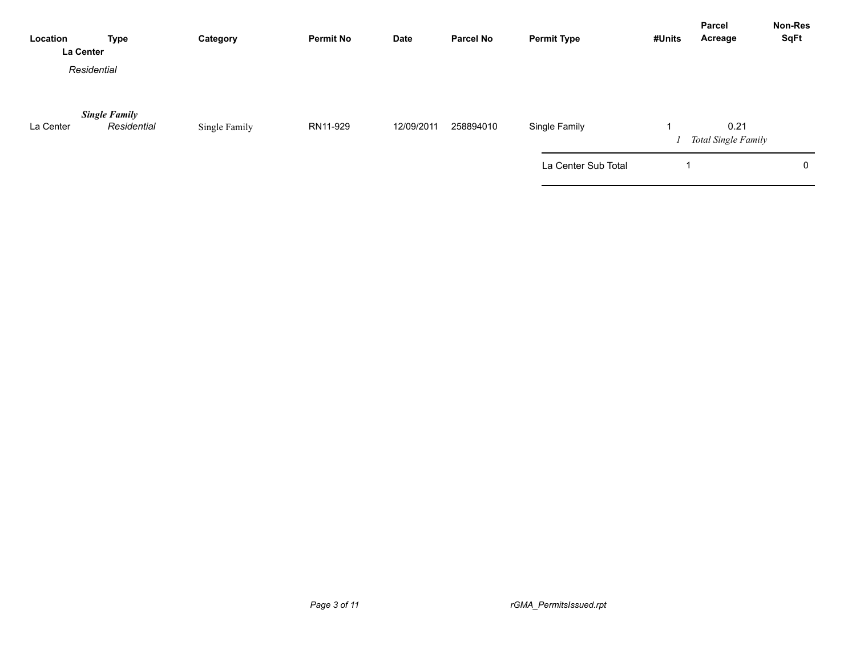| Location  | <b>Type</b><br>La Center            | Category      | <b>Permit No</b> | Date       | <b>Parcel No</b> | <b>Permit Type</b>  | #Units | <b>Parcel</b><br>Acreage           | <b>Non-Res</b><br><b>SqFt</b> |
|-----------|-------------------------------------|---------------|------------------|------------|------------------|---------------------|--------|------------------------------------|-------------------------------|
|           | Residential                         |               |                  |            |                  |                     |        |                                    |                               |
| La Center | <b>Single Family</b><br>Residential | Single Family | RN11-929         | 12/09/2011 | 258894010        | Single Family       |        | 0.21<br><b>Total Single Family</b> |                               |
|           |                                     |               |                  |            |                  | La Center Sub Total |        |                                    | 0                             |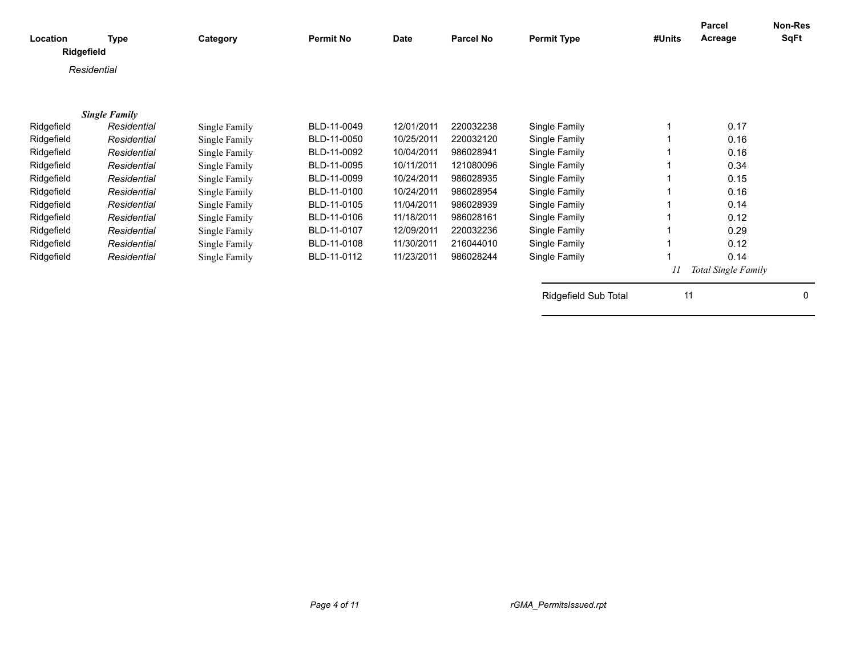| Location<br>Ridgefield | <b>Type</b>          | Category      | <b>Permit No</b> | Date       | <b>Parcel No</b> | <b>Permit Type</b>   | #Units | <b>Parcel</b><br>Acreage   | Non-Res<br>SqFt |
|------------------------|----------------------|---------------|------------------|------------|------------------|----------------------|--------|----------------------------|-----------------|
|                        | Residential          |               |                  |            |                  |                      |        |                            |                 |
|                        |                      |               |                  |            |                  |                      |        |                            |                 |
|                        | <b>Single Family</b> |               |                  |            |                  |                      |        |                            |                 |
| Ridgefield             | Residential          | Single Family | BLD-11-0049      | 12/01/2011 | 220032238        | Single Family        |        | 0.17                       |                 |
| Ridgefield             | Residential          | Single Family | BLD-11-0050      | 10/25/2011 | 220032120        | Single Family        |        | 0.16                       |                 |
| Ridgefield             | Residential          | Single Family | BLD-11-0092      | 10/04/2011 | 986028941        | Single Family        |        | 0.16                       |                 |
| Ridgefield             | Residential          | Single Family | BLD-11-0095      | 10/11/2011 | 121080096        | Single Family        |        | 0.34                       |                 |
| Ridgefield             | Residential          | Single Family | BLD-11-0099      | 10/24/2011 | 986028935        | Single Family        |        | 0.15                       |                 |
| Ridgefield             | Residential          | Single Family | BLD-11-0100      | 10/24/2011 | 986028954        | Single Family        |        | 0.16                       |                 |
| Ridgefield             | Residential          | Single Family | BLD-11-0105      | 11/04/2011 | 986028939        | Single Family        |        | 0.14                       |                 |
| Ridgefield             | Residential          | Single Family | BLD-11-0106      | 11/18/2011 | 986028161        | Single Family        |        | 0.12                       |                 |
| Ridgefield             | Residential          | Single Family | BLD-11-0107      | 12/09/2011 | 220032236        | Single Family        |        | 0.29                       |                 |
| Ridgefield             | Residential          | Single Family | BLD-11-0108      | 11/30/2011 | 216044010        | Single Family        |        | 0.12                       |                 |
| Ridgefield             | Residential          | Single Family | BLD-11-0112      | 11/23/2011 | 986028244        | Single Family        |        | 0.14                       |                 |
|                        |                      |               |                  |            |                  |                      |        | <b>Total Single Family</b> |                 |
|                        |                      |               |                  |            |                  | Ridgefield Sub Total | 11     |                            | $\Omega$        |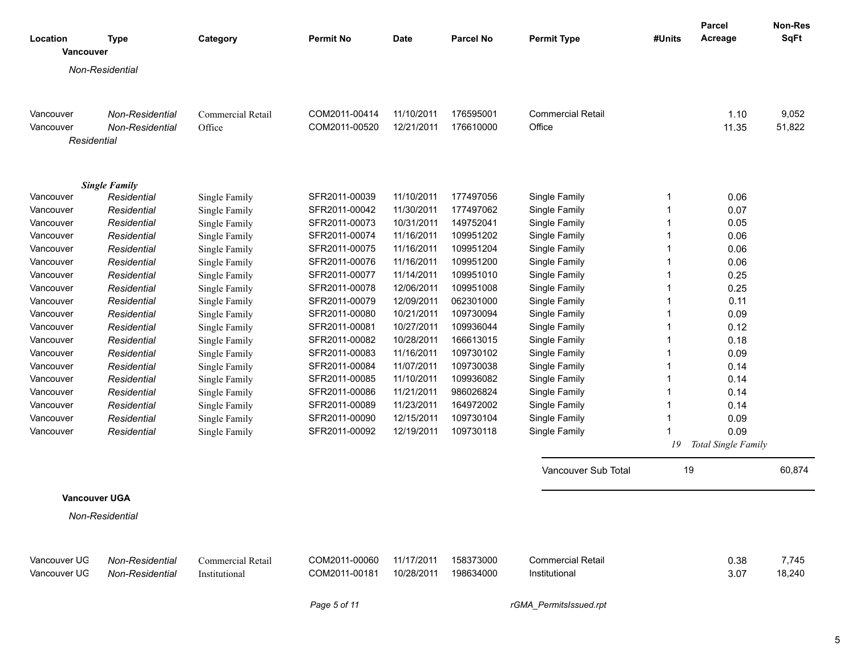| Location             | <b>Type</b>            | Category          | <b>Permit No</b> | <b>Date</b> | <b>Parcel No</b>       | <b>Permit Type</b>       | #Units | <b>Parcel</b><br>Acreage | Non-Res<br><b>SqFt</b> |
|----------------------|------------------------|-------------------|------------------|-------------|------------------------|--------------------------|--------|--------------------------|------------------------|
| Vancouver            |                        |                   |                  |             |                        |                          |        |                          |                        |
|                      | Non-Residential        |                   |                  |             |                        |                          |        |                          |                        |
|                      |                        |                   |                  |             |                        |                          |        |                          |                        |
|                      |                        |                   |                  |             |                        |                          |        |                          |                        |
| Vancouver            | Non-Residential        | Commercial Retail | COM2011-00414    | 11/10/2011  | 176595001              | <b>Commercial Retail</b> |        | 1.10                     | 9,052                  |
| Vancouver            | Non-Residential        | Office            | COM2011-00520    | 12/21/2011  | 176610000              | Office                   |        | 11.35                    | 51,822                 |
| Residential          |                        |                   |                  |             |                        |                          |        |                          |                        |
|                      |                        |                   |                  |             |                        |                          |        |                          |                        |
|                      |                        |                   |                  |             |                        |                          |        |                          |                        |
|                      | <b>Single Family</b>   |                   |                  |             |                        |                          |        |                          |                        |
| Vancouver            | Residential            | Single Family     | SFR2011-00039    | 11/10/2011  | 177497056              | Single Family            | 1      | 0.06                     |                        |
| Vancouver            | Residential            | Single Family     | SFR2011-00042    | 11/30/2011  | 177497062              | Single Family            | 1      | 0.07                     |                        |
| Vancouver            | Residential            | Single Family     | SFR2011-00073    | 10/31/2011  | 149752041              | Single Family            | 1      | 0.05                     |                        |
| Vancouver            | Residential            | Single Family     | SFR2011-00074    | 11/16/2011  | 109951202              | Single Family            | 1      | 0.06                     |                        |
| Vancouver            | Residential            | Single Family     | SFR2011-00075    | 11/16/2011  | 109951204<br>109951200 | Single Family            | 1      | 0.06                     |                        |
| Vancouver            | Residential            | Single Family     | SFR2011-00076    | 11/16/2011  |                        | Single Family            | 1      | 0.06                     |                        |
| Vancouver            | Residential            | Single Family     | SFR2011-00077    | 11/14/2011  | 109951010              | Single Family            | 1      | 0.25                     |                        |
| Vancouver            | Residential            | Single Family     | SFR2011-00078    | 12/06/2011  | 109951008              | Single Family            | 1      | 0.25                     |                        |
| Vancouver            | Residential            | Single Family     | SFR2011-00079    | 12/09/2011  | 062301000              | Single Family            | -1     | 0.11                     |                        |
| Vancouver            | Residential            | Single Family     | SFR2011-00080    | 10/21/2011  | 109730094              | Single Family            | -1     | 0.09                     |                        |
| Vancouver            | Residential            | Single Family     | SFR2011-00081    | 10/27/2011  | 109936044              | Single Family            | -1     | 0.12                     |                        |
| Vancouver            | Residential            | Single Family     | SFR2011-00082    | 10/28/2011  | 166613015              | Single Family            | -1     | 0.18                     |                        |
| Vancouver            | Residential            | Single Family     | SFR2011-00083    | 11/16/2011  | 109730102              | Single Family            | -1     | 0.09                     |                        |
| Vancouver            | Residential            | Single Family     | SFR2011-00084    | 11/07/2011  | 109730038              | Single Family            | -1     | 0.14                     |                        |
| Vancouver            | Residential            | Single Family     | SFR2011-00085    | 11/10/2011  | 109936082              | Single Family            | -1     | 0.14                     |                        |
| Vancouver            | Residential            | Single Family     | SFR2011-00086    | 11/21/2011  | 986026824              | Single Family            | -1     | 0.14                     |                        |
| Vancouver            | Residential            | Single Family     | SFR2011-00089    | 11/23/2011  | 164972002              | Single Family            | -1     | 0.14                     |                        |
| Vancouver            | Residential            | Single Family     | SFR2011-00090    | 12/15/2011  | 109730104              | Single Family            | -1     | 0.09                     |                        |
| Vancouver            | Residential            | Single Family     | SFR2011-00092    | 12/19/2011  | 109730118              | Single Family            | -1     | 0.09                     |                        |
|                      |                        |                   |                  |             |                        |                          | 19     | Total Single Family      |                        |
|                      |                        |                   |                  |             |                        | Vancouver Sub Total      | 19     |                          | 60,874                 |
| <b>Vancouver UGA</b> |                        |                   |                  |             |                        |                          |        |                          |                        |
|                      |                        |                   |                  |             |                        |                          |        |                          |                        |
|                      | Non-Residential        |                   |                  |             |                        |                          |        |                          |                        |
|                      |                        |                   |                  |             |                        |                          |        |                          |                        |
| Vancouver UG         | Non-Residential        | Commercial Retail | COM2011-00060    | 11/17/2011  | 158373000              | <b>Commercial Retail</b> |        | 0.38                     | 7,745                  |
| Vancouver UG         | <b>Non-Residential</b> | Institutional     | COM2011-00181    | 10/28/2011  | 198634000              | Institutional            |        | 3.07                     | 18,240                 |
|                      |                        |                   |                  |             |                        |                          |        |                          |                        |

*Page 5 of 11 rGMA\_PermitsIssued.rpt*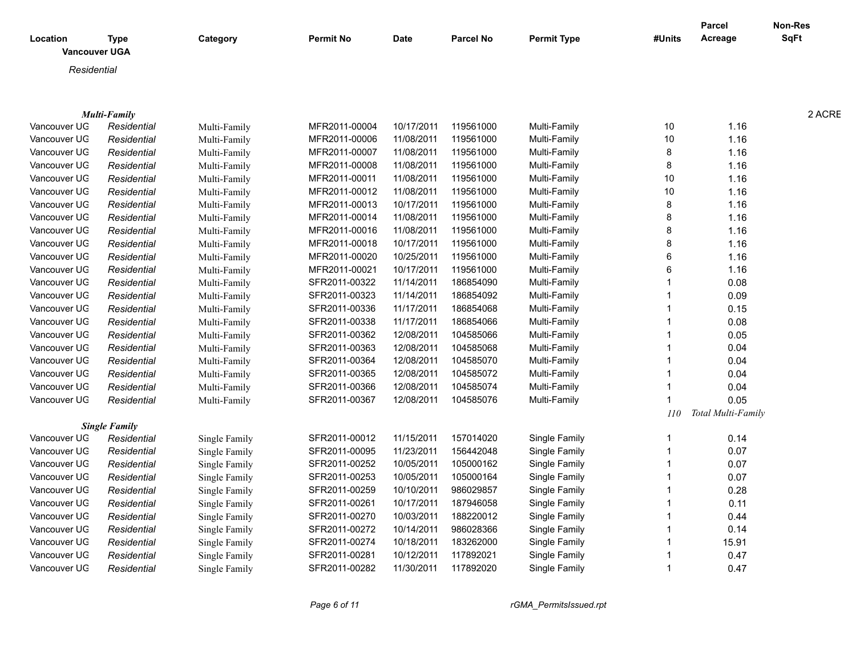|                      |                      |               |                  |             |                  |                    |             | <b>Parcel</b>      | <b>Non-Res</b> |
|----------------------|----------------------|---------------|------------------|-------------|------------------|--------------------|-------------|--------------------|----------------|
| Location             | <b>Type</b>          | Category      | <b>Permit No</b> | <b>Date</b> | <b>Parcel No</b> | <b>Permit Type</b> | #Units      | Acreage            | <b>SqFt</b>    |
| <b>Vancouver UGA</b> |                      |               |                  |             |                  |                    |             |                    |                |
| Residential          |                      |               |                  |             |                  |                    |             |                    |                |
|                      |                      |               |                  |             |                  |                    |             |                    |                |
|                      |                      |               |                  |             |                  |                    |             |                    |                |
|                      | <b>Multi-Family</b>  |               |                  |             |                  |                    |             |                    | 2 ACRE         |
| Vancouver UG         | Residential          | Multi-Family  | MFR2011-00004    | 10/17/2011  | 119561000        | Multi-Family       | 10          | 1.16               |                |
| Vancouver UG         | Residential          | Multi-Family  | MFR2011-00006    | 11/08/2011  | 119561000        | Multi-Family       | 10          | 1.16               |                |
| Vancouver UG         | Residential          | Multi-Family  | MFR2011-00007    | 11/08/2011  | 119561000        | Multi-Family       | 8           | 1.16               |                |
| Vancouver UG         | Residential          | Multi-Family  | MFR2011-00008    | 11/08/2011  | 119561000        | Multi-Family       | 8           | 1.16               |                |
| Vancouver UG         | Residential          | Multi-Family  | MFR2011-00011    | 11/08/2011  | 119561000        | Multi-Family       | 10          | 1.16               |                |
| Vancouver UG         | Residential          | Multi-Family  | MFR2011-00012    | 11/08/2011  | 119561000        | Multi-Family       | 10          | 1.16               |                |
| Vancouver UG         | Residential          | Multi-Family  | MFR2011-00013    | 10/17/2011  | 119561000        | Multi-Family       | 8           | 1.16               |                |
| Vancouver UG         | Residential          | Multi-Family  | MFR2011-00014    | 11/08/2011  | 119561000        | Multi-Family       |             | 1.16               |                |
| Vancouver UG         | Residential          | Multi-Family  | MFR2011-00016    | 11/08/2011  | 119561000        | Multi-Family       |             | 1.16               |                |
| Vancouver UG         | Residential          | Multi-Family  | MFR2011-00018    | 10/17/2011  | 119561000        | Multi-Family       |             | 1.16               |                |
| Vancouver UG         | Residential          | Multi-Family  | MFR2011-00020    | 10/25/2011  | 119561000        | Multi-Family       |             | 1.16               |                |
| Vancouver UG         | Residential          | Multi-Family  | MFR2011-00021    | 10/17/2011  | 119561000        | Multi-Family       |             | 1.16               |                |
| Vancouver UG         | Residential          | Multi-Family  | SFR2011-00322    | 11/14/2011  | 186854090        | Multi-Family       |             | 0.08               |                |
| Vancouver UG         | Residential          | Multi-Family  | SFR2011-00323    | 11/14/2011  | 186854092        | Multi-Family       |             | 0.09               |                |
| Vancouver UG         | Residential          | Multi-Family  | SFR2011-00336    | 11/17/2011  | 186854068        | Multi-Family       |             | 0.15               |                |
| Vancouver UG         | Residential          | Multi-Family  | SFR2011-00338    | 11/17/2011  | 186854066        | Multi-Family       |             | 0.08               |                |
| Vancouver UG         | Residential          | Multi-Family  | SFR2011-00362    | 12/08/2011  | 104585066        | Multi-Family       |             | 0.05               |                |
| Vancouver UG         | Residential          | Multi-Family  | SFR2011-00363    | 12/08/2011  | 104585068        | Multi-Family       |             | 0.04               |                |
| Vancouver UG         | Residential          | Multi-Family  | SFR2011-00364    | 12/08/2011  | 104585070        | Multi-Family       |             | 0.04               |                |
| Vancouver UG         | Residential          | Multi-Family  | SFR2011-00365    | 12/08/2011  | 104585072        | Multi-Family       |             | 0.04               |                |
| Vancouver UG         | Residential          | Multi-Family  | SFR2011-00366    | 12/08/2011  | 104585074        | Multi-Family       |             | 0.04               |                |
| Vancouver UG         | Residential          | Multi-Family  | SFR2011-00367    | 12/08/2011  | 104585076        | Multi-Family       |             | 0.05               |                |
|                      |                      |               |                  |             |                  |                    | 110         | Total Multi-Family |                |
|                      | <b>Single Family</b> |               |                  |             |                  |                    |             |                    |                |
| Vancouver UG         | Residential          | Single Family | SFR2011-00012    | 11/15/2011  | 157014020        | Single Family      | -1          | 0.14               |                |
| Vancouver UG         | Residential          | Single Family | SFR2011-00095    | 11/23/2011  | 156442048        | Single Family      | $\mathbf 1$ | 0.07               |                |
| Vancouver UG         | Residential          | Single Family | SFR2011-00252    | 10/05/2011  | 105000162        | Single Family      | -1          | 0.07               |                |
| Vancouver UG         | Residential          | Single Family | SFR2011-00253    | 10/05/2011  | 105000164        | Single Family      |             | 0.07               |                |
| Vancouver UG         | Residential          | Single Family | SFR2011-00259    | 10/10/2011  | 986029857        | Single Family      |             | 0.28               |                |
| Vancouver UG         |                      |               | SFR2011-00261    | 10/17/2011  | 187946058        | Single Family      |             | 0.11               |                |
| Vancouver UG         | Residential          | Single Family | SFR2011-00270    | 10/03/2011  | 188220012        | Single Family      |             |                    |                |
|                      | Residential          | Single Family | SFR2011-00272    | 10/14/2011  | 986028366        |                    |             | 0.44<br>0.14       |                |
| Vancouver UG         | Residential          | Single Family |                  |             |                  | Single Family      |             |                    |                |
| Vancouver UG         | Residential          | Single Family | SFR2011-00274    | 10/18/2011  | 183262000        | Single Family      |             | 15.91              |                |
| Vancouver UG         | Residential          | Single Family | SFR2011-00281    | 10/12/2011  | 117892021        | Single Family      |             | 0.47               |                |
| Vancouver UG         | Residential          | Single Family | SFR2011-00282    | 11/30/2011  | 117892020        | Single Family      |             | 0.47               |                |

*Page 6 of 11 rGMA\_PermitsIssued.rpt*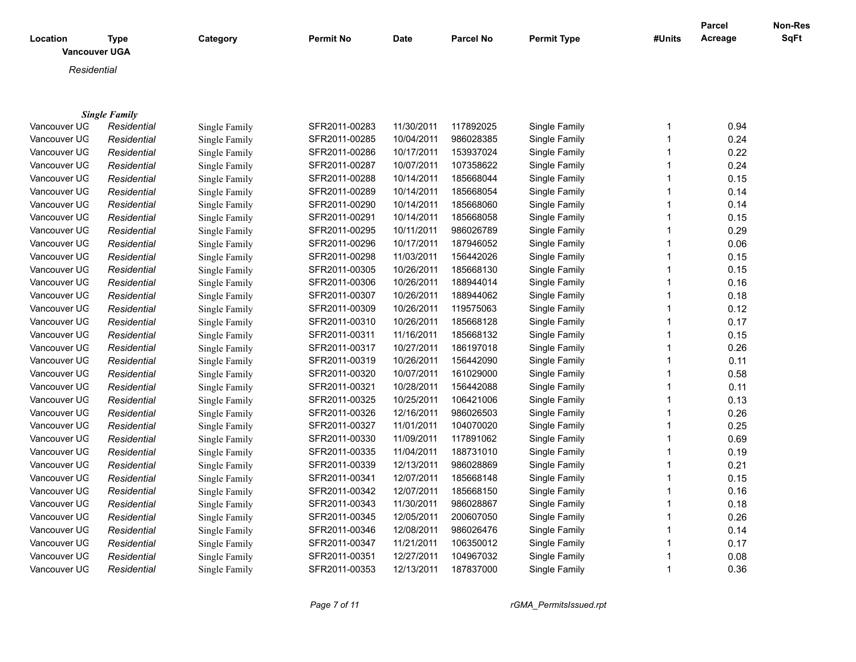| Location<br><b>Vancouver UGA</b> | <b>Type</b>          | Category      | <b>Permit No</b> | <b>Date</b> | <b>Parcel No</b> | <b>Permit Type</b> | #Units | <b>Parcel</b><br>Acreage | Non-Res<br>SqFt |
|----------------------------------|----------------------|---------------|------------------|-------------|------------------|--------------------|--------|--------------------------|-----------------|
| Residential                      |                      |               |                  |             |                  |                    |        |                          |                 |
|                                  |                      |               |                  |             |                  |                    |        |                          |                 |
|                                  |                      |               |                  |             |                  |                    |        |                          |                 |
|                                  | <b>Single Family</b> |               |                  |             |                  |                    |        |                          |                 |
| Vancouver UG                     | Residential          | Single Family | SFR2011-00283    | 11/30/2011  | 117892025        | Single Family      | 1      | 0.94                     |                 |
| Vancouver UG                     | Residential          | Single Family | SFR2011-00285    | 10/04/2011  | 986028385        | Single Family      | 1      | 0.24                     |                 |
| Vancouver UG                     | Residential          | Single Family | SFR2011-00286    | 10/17/2011  | 153937024        | Single Family      |        | 0.22                     |                 |
| Vancouver UG                     | Residential          | Single Family | SFR2011-00287    | 10/07/2011  | 107358622        | Single Family      |        | 0.24                     |                 |
| Vancouver UG                     | Residential          | Single Family | SFR2011-00288    | 10/14/2011  | 185668044        | Single Family      |        | 0.15                     |                 |
| Vancouver UG                     | Residential          | Single Family | SFR2011-00289    | 10/14/2011  | 185668054        | Single Family      |        | 0.14                     |                 |
| Vancouver UG                     | Residential          | Single Family | SFR2011-00290    | 10/14/2011  | 185668060        | Single Family      |        | 0.14                     |                 |
| Vancouver UG                     | Residential          | Single Family | SFR2011-00291    | 10/14/2011  | 185668058        | Single Family      |        | 0.15                     |                 |
| Vancouver UG                     | Residential          | Single Family | SFR2011-00295    | 10/11/2011  | 986026789        | Single Family      |        | 0.29                     |                 |
| Vancouver UG                     | Residential          | Single Family | SFR2011-00296    | 10/17/2011  | 187946052        | Single Family      |        | 0.06                     |                 |
| Vancouver UG                     | Residential          | Single Family | SFR2011-00298    | 11/03/2011  | 156442026        | Single Family      |        | 0.15                     |                 |
| Vancouver UG                     | Residential          | Single Family | SFR2011-00305    | 10/26/2011  | 185668130        | Single Family      |        | 0.15                     |                 |
| Vancouver UG                     | Residential          | Single Family | SFR2011-00306    | 10/26/2011  | 188944014        | Single Family      |        | 0.16                     |                 |
| Vancouver UG                     | Residential          | Single Family | SFR2011-00307    | 10/26/2011  | 188944062        | Single Family      | 1      | 0.18                     |                 |
| Vancouver UG                     | Residential          | Single Family | SFR2011-00309    | 10/26/2011  | 119575063        | Single Family      |        | 0.12                     |                 |
| Vancouver UG                     | Residential          | Single Family | SFR2011-00310    | 10/26/2011  | 185668128        | Single Family      | 1      | 0.17                     |                 |
| Vancouver UG                     | Residential          | Single Family | SFR2011-00311    | 11/16/2011  | 185668132        | Single Family      |        | 0.15                     |                 |
| Vancouver UG                     | Residential          | Single Family | SFR2011-00317    | 10/27/2011  | 186197018        | Single Family      | 1      | 0.26                     |                 |
| Vancouver UG                     | Residential          | Single Family | SFR2011-00319    | 10/26/2011  | 156442090        | Single Family      |        | 0.11                     |                 |
| Vancouver UG                     | Residential          | Single Family | SFR2011-00320    | 10/07/2011  | 161029000        | Single Family      |        | 0.58                     |                 |
| Vancouver UG                     | Residential          | Single Family | SFR2011-00321    | 10/28/2011  | 156442088        | Single Family      |        | 0.11                     |                 |
| Vancouver UG                     | Residential          | Single Family | SFR2011-00325    | 10/25/2011  | 106421006        | Single Family      | 1      | 0.13                     |                 |
| Vancouver UG                     | Residential          | Single Family | SFR2011-00326    | 12/16/2011  | 986026503        | Single Family      |        | 0.26                     |                 |
| Vancouver UG                     | Residential          | Single Family | SFR2011-00327    | 11/01/2011  | 104070020        | Single Family      |        | 0.25                     |                 |
| Vancouver UG                     | Residential          | Single Family | SFR2011-00330    | 11/09/2011  | 117891062        | Single Family      |        | 0.69                     |                 |
| Vancouver UG                     | Residential          | Single Family | SFR2011-00335    | 11/04/2011  | 188731010        | Single Family      |        | 0.19                     |                 |
| Vancouver UG                     | Residential          | Single Family | SFR2011-00339    | 12/13/2011  | 986028869        | Single Family      | 1      | 0.21                     |                 |
| Vancouver UG                     | Residential          | Single Family | SFR2011-00341    | 12/07/2011  | 185668148        | Single Family      | 1      | 0.15                     |                 |
| Vancouver UG                     | Residential          | Single Family | SFR2011-00342    | 12/07/2011  | 185668150        | Single Family      |        | 0.16                     |                 |
| Vancouver UG                     | Residential          | Single Family | SFR2011-00343    | 11/30/2011  | 986028867        | Single Family      |        | 0.18                     |                 |
| Vancouver UG                     | Residential          | Single Family | SFR2011-00345    | 12/05/2011  | 200607050        | Single Family      |        | 0.26                     |                 |
| Vancouver UG                     | Residential          | Single Family | SFR2011-00346    | 12/08/2011  | 986026476        | Single Family      | 1      | 0.14                     |                 |

Vancouver UGA *Residential* Single Family SFR2011-00347 11/21/2011 106350012 Single Family 1 0.17 Vancouver UGA *Residential* Single Family SFR2011-00351 12/27/2011 104967032 Single Family 1 0.08 Vancouver UG *Residential* Single Family SFR2011-00353 12/13/2011 187837000 Single Family 1 0.36

*Page 7 of 11 rGMA\_PermitsIssued.rpt*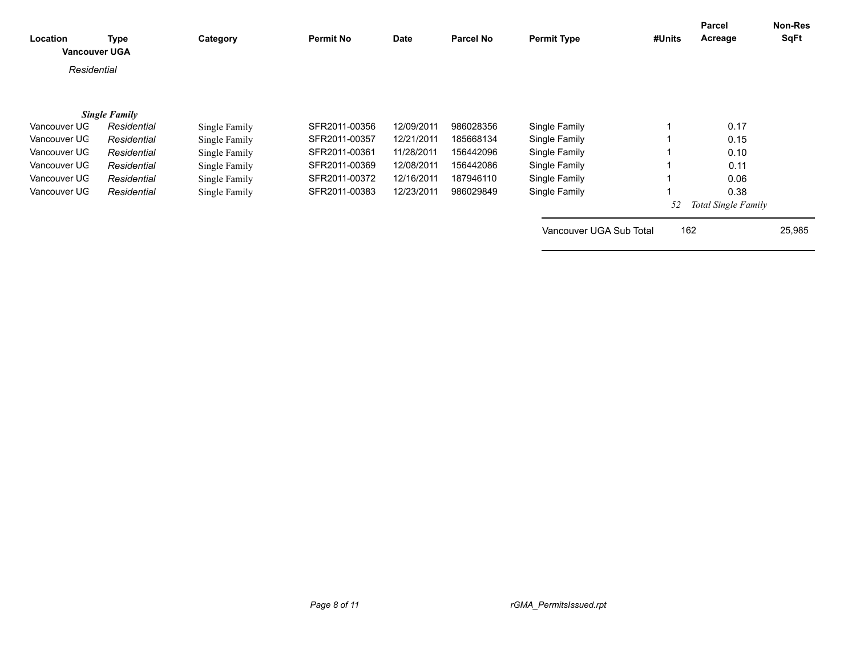| Location<br><b>Vancouver UGA</b> | <b>Type</b>          | Category      | <b>Permit No</b> | Date       | <b>Parcel No</b> | <b>Permit Type</b>      | #Units | <b>Parcel</b><br>Acreage | Non-Res<br>SqFt |
|----------------------------------|----------------------|---------------|------------------|------------|------------------|-------------------------|--------|--------------------------|-----------------|
| Residential                      |                      |               |                  |            |                  |                         |        |                          |                 |
|                                  |                      |               |                  |            |                  |                         |        |                          |                 |
|                                  | <b>Single Family</b> |               |                  |            |                  |                         |        |                          |                 |
| Vancouver UG                     | Residential          | Single Family | SFR2011-00356    | 12/09/2011 | 986028356        | Single Family           |        | 0.17                     |                 |
| Vancouver UG                     | Residential          | Single Family | SFR2011-00357    | 12/21/2011 | 185668134        | Single Family           |        | 0.15                     |                 |
| Vancouver UG                     | Residential          | Single Family | SFR2011-00361    | 11/28/2011 | 156442096        | Single Family           |        | 0.10                     |                 |
| Vancouver UG                     | Residential          | Single Family | SFR2011-00369    | 12/08/2011 | 156442086        | Single Family           |        | 0.11                     |                 |
| Vancouver UG                     | Residential          | Single Family | SFR2011-00372    | 12/16/2011 | 187946110        | Single Family           |        | 0.06                     |                 |
| Vancouver UG                     | Residential          | Single Family | SFR2011-00383    | 12/23/2011 | 986029849        | Single Family           |        | 0.38                     |                 |
|                                  |                      |               |                  |            |                  |                         | 52     | Total Single Family      |                 |
|                                  |                      |               |                  |            |                  | Vancouver UGA Sub Total | 162    |                          | 25,985          |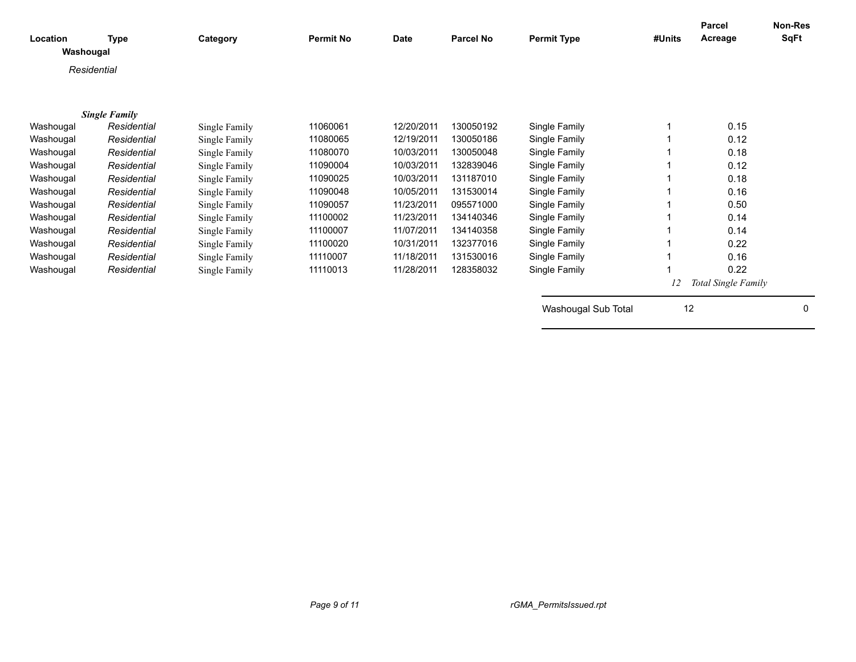| Location<br>Washougal | <b>Type</b>          | Category      | <b>Permit No</b> | Date       | <b>Parcel No</b> | <b>Permit Type</b>  | #Units | <b>Parcel</b><br>Acreage | <b>Non-Res</b><br>SqFt |
|-----------------------|----------------------|---------------|------------------|------------|------------------|---------------------|--------|--------------------------|------------------------|
|                       | Residential          |               |                  |            |                  |                     |        |                          |                        |
|                       |                      |               |                  |            |                  |                     |        |                          |                        |
|                       |                      |               |                  |            |                  |                     |        |                          |                        |
|                       | <b>Single Family</b> |               |                  |            |                  |                     |        |                          |                        |
| Washougal             | Residential          | Single Family | 11060061         | 12/20/2011 | 130050192        | Single Family       |        | 0.15                     |                        |
| Washougal             | Residential          | Single Family | 11080065         | 12/19/2011 | 130050186        | Single Family       |        | 0.12                     |                        |
| Washougal             | Residential          | Single Family | 11080070         | 10/03/2011 | 130050048        | Single Family       |        | 0.18                     |                        |
| Washougal             | Residential          | Single Family | 11090004         | 10/03/2011 | 132839046        | Single Family       |        | 0.12                     |                        |
| Washougal             | Residential          | Single Family | 11090025         | 10/03/2011 | 131187010        | Single Family       |        | 0.18                     |                        |
| Washougal             | Residential          | Single Family | 11090048         | 10/05/2011 | 131530014        | Single Family       |        | 0.16                     |                        |
| Washougal             | Residential          | Single Family | 11090057         | 11/23/2011 | 095571000        | Single Family       |        | 0.50                     |                        |
| Washougal             | Residential          | Single Family | 11100002         | 11/23/2011 | 134140346        | Single Family       |        | 0.14                     |                        |
| Washougal             | Residential          | Single Family | 11100007         | 11/07/2011 | 134140358        | Single Family       |        | 0.14                     |                        |
| Washougal             | Residential          | Single Family | 11100020         | 10/31/2011 | 132377016        | Single Family       |        | 0.22                     |                        |
| Washougal             | Residential          | Single Family | 11110007         | 11/18/2011 | 131530016        | Single Family       |        | 0.16                     |                        |
| Washougal             | Residential          | Single Family | 11110013         | 11/28/2011 | 128358032        | Single Family       |        | 0.22                     |                        |
|                       |                      |               |                  |            |                  |                     |        | Total Single Family      |                        |
|                       |                      |               |                  |            |                  | Washougal Sub Total | 12     |                          | 0                      |
|                       |                      |               |                  |            |                  |                     |        |                          |                        |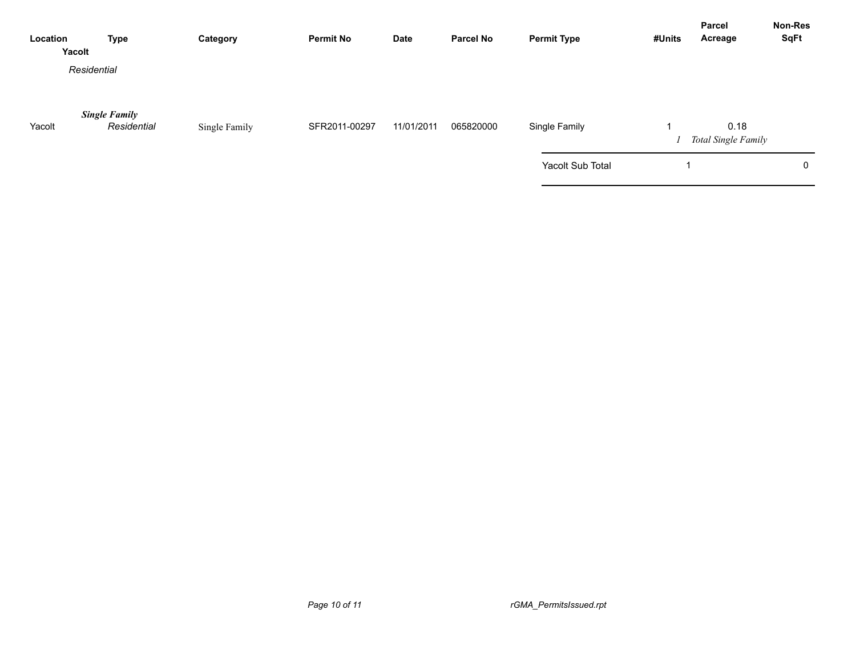| Location | <b>Type</b><br>Yacolt               | Category      | <b>Permit No</b> | <b>Date</b> | <b>Parcel No</b> | <b>Permit Type</b> | #Units | Parcel<br>Acreage           | <b>Non-Res</b><br><b>SqFt</b> |
|----------|-------------------------------------|---------------|------------------|-------------|------------------|--------------------|--------|-----------------------------|-------------------------------|
|          | Residential                         |               |                  |             |                  |                    |        |                             |                               |
| Yacolt   | <b>Single Family</b><br>Residential | Single Family | SFR2011-00297    | 11/01/2011  | 065820000        | Single Family      |        | 0.18<br>Total Single Family |                               |
|          |                                     |               |                  |             |                  | Yacolt Sub Total   |        |                             | 0                             |